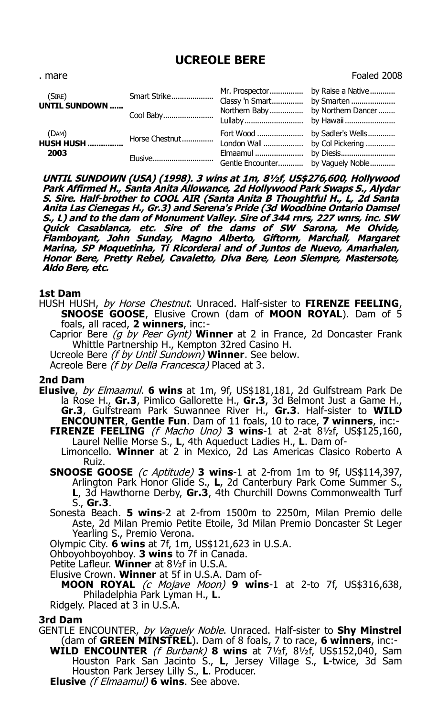# **UCREOLE BERE**

| . mare                             |                |                                  | Foaled 2008                       |
|------------------------------------|----------------|----------------------------------|-----------------------------------|
| (SIRE)<br>UNTIL SUNDOWN            | Smart Strike   |                                  |                                   |
|                                    | Cool Baby      | Northern Baby by Northern Dancer |                                   |
| (DAM)<br><b>HUSH HUSH </b><br>2003 | Horse Chestnut |                                  |                                   |
|                                    | Elusive        |                                  | Gentle Encounter by Vaguely Noble |

**UNTIL SUNDOWN (USA) (1998). 3 wins at 1m, 8½f, US\$276,600, Hollywood Park Affirmed H., Santa Anita Allowance, 2d Hollywood Park Swaps S., Alydar S. Sire. Half-brother to COOL AIR (Santa Anita B Thoughtful H., L, 2d Santa Anita Las Cienegas H., Gr.3) and Serena's Pride (3d Woodbine Ontario Damsel S., L) and to the dam of Monument Valley. Sire of 344 rnrs, 227 wnrs, inc. SW Quick Casablanca, etc. Sire of the dams of SW Sarona, Me Olvide, Flamboyant, John Sunday, Magno Alberto, Giftorm, Marchall, Margaret Marina, SP Moquetinha, Ti Ricorderai and of Juntos de Nuevo, Amarhalen, Honor Bere, Pretty Rebel, Cavaletto, Diva Bere, Leon Siempre, Mastersote, Aldo Bere, etc.**

## **1st Dam**

- HUSH HUSH, by Horse Chestnut. Unraced. Half-sister to **FIRENZE FEELING**, **SNOOSE GOOSE**, Elusive Crown (dam of **MOON ROYAL**). Dam of 5 foals, all raced, **2 winners**, inc:-
	- Caprior Bere (g by Peer Gynt) **Winner** at 2 in France, 2d Doncaster Frank Whittle Partnership H., Kempton 32red Casino H.
	- Ucreole Bere (f by Until Sundown) **Winner**. See below.
	- Acreole Bere (f by Della Francesca) Placed at 3.

#### **2nd Dam**

- **Elusive**, by Elmaamul. **6 wins** at 1m, 9f, US\$181,181, 2d Gulfstream Park De la Rose H., **Gr.3**, Pimlico Gallorette H., **Gr.3**, 3d Belmont Just a Game H., **Gr.3**, Gulfstream Park Suwannee River H., **Gr.3**. Half-sister to **WILD ENCOUNTER**, **Gentle Fun**. Dam of 11 foals, 10 to race, **7 winners**, inc:- **FIRENZE FEELING** (f Macho Uno) **3 wins**-1 at 2-at 8½f, US\$125,160,
	- Laurel Nellie Morse S., **L**, 4th Aqueduct Ladies H., **L**. Dam of-Limoncello. **Winner** at 2 in Mexico, 2d Las Americas Clasico Roberto A Ruiz.
	- **SNOOSE GOOSE** (c Aptitude) **3 wins**-1 at 2-from 1m to 9f, US\$114,397, Arlington Park Honor Glide S., **L**, 2d Canterbury Park Come Summer S., **L**, 3d Hawthorne Derby, **Gr.3**, 4th Churchill Downs Commonwealth Turf S., **Gr.3**.
	- Sonesta Beach. **5 wins**-2 at 2-from 1500m to 2250m, Milan Premio delle Aste, 2d Milan Premio Petite Etoile, 3d Milan Premio Doncaster St Leger Yearling S., Premio Verona.
	- Olympic City. **6 wins** at 7f, 1m, US\$121,623 in U.S.A.
	- Ohboyohboyohboy. **3 wins** to 7f in Canada.
	- Petite Lafleur. **Winner** at 8½f in U.S.A.
	- Elusive Crown. **Winner** at 5f in U.S.A. Dam of-
		- **MOON ROYAL** (c Mojave Moon) **9 wins**-1 at 2-to 7f, US\$316,638, Philadelphia Park Lyman H., **L**.
	- Ridgely. Placed at 3 in U.S.A.

## **3rd Dam**

GENTLE ENCOUNTER, by Vaguely Noble. Unraced. Half-sister to **Shy Minstrel** (dam of **GREEN MINSTREL**). Dam of 8 foals, 7 to race, **6 winners**, inc:- **WILD ENCOUNTER** (f Burbank) **8 wins** at 7½f, 8½f, US\$152,040, Sam Houston Park San Jacinto S., **L**, Jersey Village S., **L**-twice, 3d Sam Houston Park Jersey Lilly S., **L**. Producer.

**Elusive** (f Elmaamul) **6 wins**. See above.